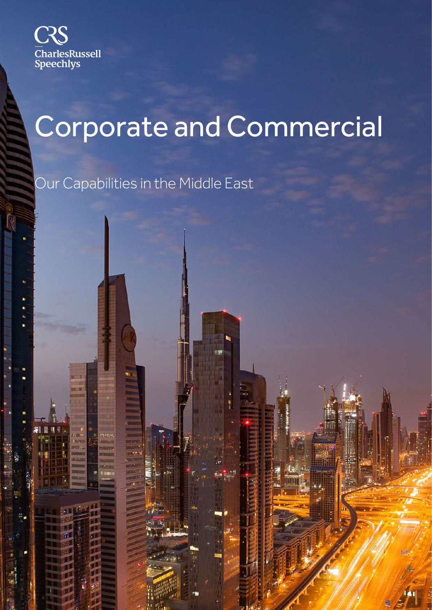

# Corporate and Commercial

Our Capabilities in the Middle East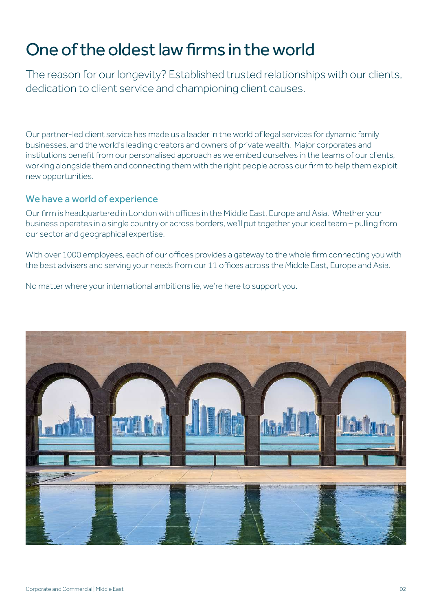## One of the oldest law firms in the world

The reason for our longevity? Established trusted relationships with our clients, dedication to client service and championing client causes.

Our partner-led client service has made us a leader in the world of legal services for dynamic family businesses, and the world's leading creators and owners of private wealth. Major corporates and institutions benefit from our personalised approach as we embed ourselves in the teams of our clients, working alongside them and connecting them with the right people across our firm to help them exploit new opportunities.

#### We have a world of experience

Our firm is headquartered in London with offices in the Middle East, Europe and Asia. Whether your business operates in a single country or across borders, we'll put together your ideal team – pulling from our sector and geographical expertise.

With over 1000 employees, each of our offices provides a gateway to the whole firm connecting you with the best advisers and serving your needs from our 11 offices across the Middle East, Europe and Asia.

No matter where your international ambitions lie, we're here to support you.

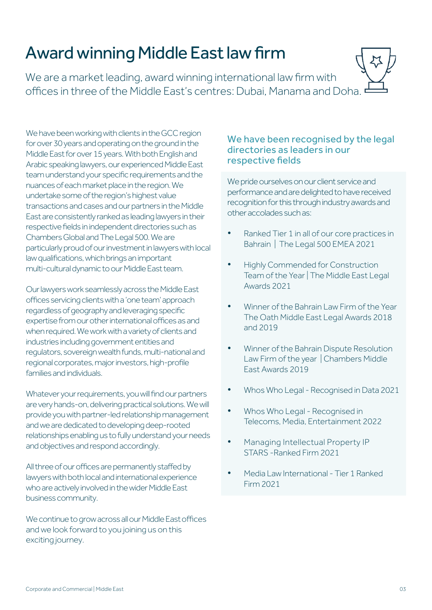# Award winning Middle East law firm

We are a market leading, award winning international law firm with offices in three of the Middle East's centres: Dubai, Manama and Doha.

We have been working with clients in the GCC region for over 30 years and operating on the ground in the Middle East for over 15 years. With both English and Arabic speaking lawyers, our experienced Middle East team understand your specific requirements and the nuances of each market place in the region. We undertake some of the region's highest value transactions and cases and our partners in the Middle East are consistently ranked as leading lawyers in their respective fields in independent directories such as Chambers Global and The Legal 500. We are particularly proud of our investment in lawyers with local law qualifications, which brings an important multi-cultural dynamic to our Middle East team.

Our lawyers work seamlessly across the Middle East offices servicing clients with a 'one team' approach regardless of geography and leveraging specific expertise from our other international offices as and when required. We work with a variety of clients and industries including government entities and regulators, sovereign wealth funds, multi-national and regional corporates, major investors, high-profile families and individuals.

Whatever your requirements, you will find our partners are very hands-on, delivering practical solutions. We will provide you with partner-led relationship management and we are dedicated to developing deep-rooted relationships enabling us to fully understand your needs and objectives and respond accordingly.

All three of our offices are permanently staffed by lawyers with both local and international experience who are actively involved in the wider Middle East business community.

We continue to grow across all our Middle East offices and we look forward to you joining us on this exciting journey.

#### We have been recognised by the legal directories as leaders in our respective fields

We pride ourselves on our client service and performance and are delighted to have received recognition for this through industry awards and other accolades such as:

- Ranked Tier 1 in all of our core practices in Bahrain | The Legal 500 EMEA 2021
- Highly Commended for Construction Team of the Year | The Middle East Legal Awards 2021
- Winner of the Bahrain Law Firm of the Year The Oath Middle East Legal Awards 2018 and 2019
- Winner of the Bahrain Dispute Resolution Law Firm of the year | Chambers Middle East Awards 2019
- Whos Who Legal Recognised in Data 2021
- Whos Who Legal Recognised in Telecoms, Media, Entertainment 2022
- Managing Intellectual Property IP STARS -Ranked Firm 2021
- Media Law International Tier 1 Ranked Firm 2021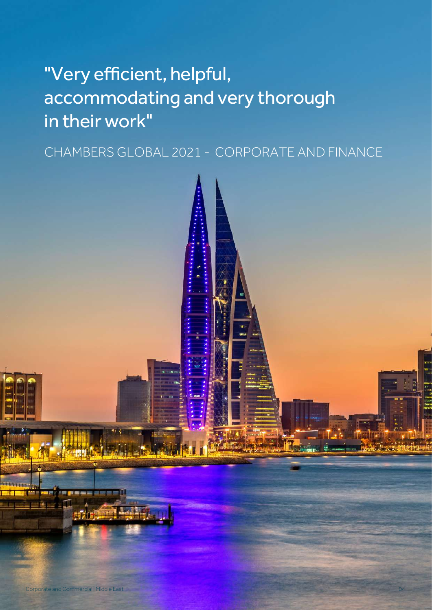# "Very efficient, helpful, accommodating and very thorough in their work"

CHAMBERS GLOBAL 2021 - CORPORATE AND FINANCE

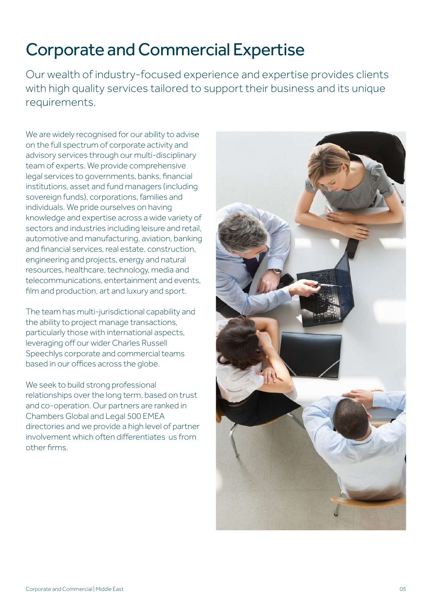### Corporate and Commercial Expertise

Our wealth of industry-focused experience and expertise provides clients with high quality services tailored to support their business and its unique requirements.

We are widely recognised for our ability to advise on the full spectrum of corporate activity and advisory services through our multi-disciplinary team of experts. We provide comprehensive legal services to governments, banks, financial institutions, asset and fund managers (including sovereign funds), corporations, families and individuals. We pride ourselves on having knowledge and expertise across a wide variety of sectors and industries including leisure and retail, automotive and manufacturing, aviation, banking and financial services, real estate, construction, engineering and projects, energy and natural resources, healthcare, technology, media and telecommunications, entertainment and events, film and production, art and luxury and sport.

The team has multi-jurisdictional capability and the ability to project manage transactions, particularly those with international aspects, leveraging off our wider Charles Russell Speechlys corporate and commercial teams based in our offices across the globe.

We seek to build strong professional relationships over the long term, based on trust and co-operation. Our partners are ranked in Chambers Global and Legal 500 EMEA directories and we provide a high level of partner involvement which often differentiates us from other firms.

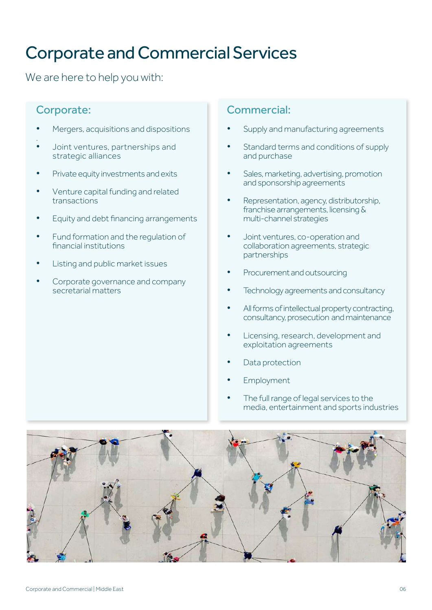### Corporate and Commercial Services

We are here to help you with:

### Corporate:

- Mergers, acquisitions and dispositions .
- Joint ventures, partnerships and strategic alliances
- Private equity investments and exits
- Venture capital funding and related transactions
- Equity and debt financing arrangements
- Fund formation and the regulation of financial institutions
- Listing and public market issues
- Corporate governance and company secretarial matters

### Commercial:

- Supply and manufacturing agreements
- Standard terms and conditions of supply and purchase
- Sales, marketing, advertising, promotion and sponsorship agreements
- Representation, agency, distributorship, franchise arrangements, licensing & multi-channel strategies
- Joint ventures, co-operation and collaboration agreements, strategic partnerships
- Procurement and outsourcing
- Technology agreements and consultancy
- All forms of intellectual property contracting, consultancy, prosecution and maintenance
- Licensing, research, development and exploitation agreements
- Data protection
- **Employment**
- The full range of legal services to the media, entertainment and sports industries

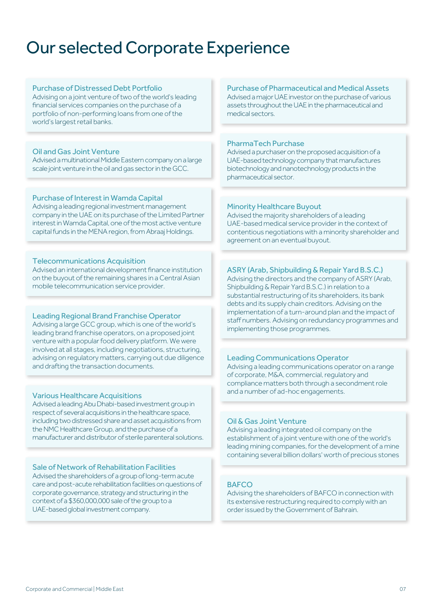### Our selected Corporate Experience

#### Purchase of Distressed Debt Portfolio

Advising on a joint venture of two of the world's leading financial services companies on the purchase of a portfolio of non-performing loans from one of the world's largest retail banks.

#### Oil and Gas Joint Venture

Advised a multinational Middle Eastern company on a large scale joint venture in the oil and gas sector in the GCC.

#### Purchase of Interest in Wamda Capital

Advising a leading regional investment management company in the UAE on its purchase of the Limited Partner interest in Wamda Capital, one of the most active venture capital funds in the MENA region, from Abraaj Holdings.

#### Telecommunications Acquisition

Advised an international development finance institution on the buyout of the remaining shares in a Central Asian mobile telecommunication service provider.

#### Leading Regional Brand Franchise Operator

Advising a large GCC group, which is one of the world's leading brand franchise operators, on a proposed joint venture with a popular food delivery platform. We were involved at all stages, including negotiations, structuring, advising on regulatory matters, carrying out due diligence and drafting the transaction documents.

#### Various Healthcare Acquisitions

Advised a leading Abu Dhabi-based investment group in respect of several acquisitions in the healthcare space, including two distressed share and asset acquisitions from the NMC Healthcare Group, and the purchase of a manufacturer and distributor of sterile parenteral solutions.

#### Sale of Network of Rehabilitation Facilities

Advised the shareholders of a group of long-term acute care and post-acute rehabilitation facilities on questions of corporate governance, strategy and structuring in the context of a \$360,000,000 sale of the group to a UAE-based global investment company.

Purchase of Pharmaceutical and Medical Assets Advised a major UAE investor on the purchase of various assets throughout the UAE in the pharmaceutical and medical sectors.

#### PharmaTech Purchase

Advised a purchaser on the proposed acquisition of a UAE-based technology company that manufactures biotechnology and nanotechnology products in the pharmaceutical sector.

#### Minority Healthcare Buyout

Advised the majority shareholders of a leading UAE-based medical service provider in the context of contentious negotiations with a minority shareholder and agreement on an eventual buyout.

#### ASRY (Arab, Shipbuilding & Repair Yard B.S.C.)

Advising the directors and the company of ASRY (Arab, Shipbuilding & Repair Yard B.S.C.) in relation to a substantial restructuring of its shareholders, its bank debts and its supply chain creditors. Advising on the implementation of a turn-around plan and the impact of staff numbers. Advising on redundancy programmes and implementing those programmes.

#### Leading Communications Operator

Advising a leading communications operator on a range of corporate, M&A, commercial, regulatory and compliance matters both through a secondment role and a number of ad-hoc engagements.

#### Oil & Gas Joint Venture

Advising a leading integrated oil company on the establishment of a joint venture with one of the world's leading mining companies, for the development of a mine containing several billion dollars' worth of precious stones

#### **BAFCO**

Advising the shareholders of BAFCO in connection with its extensive restructuring required to comply with an order issued by the Government of Bahrain.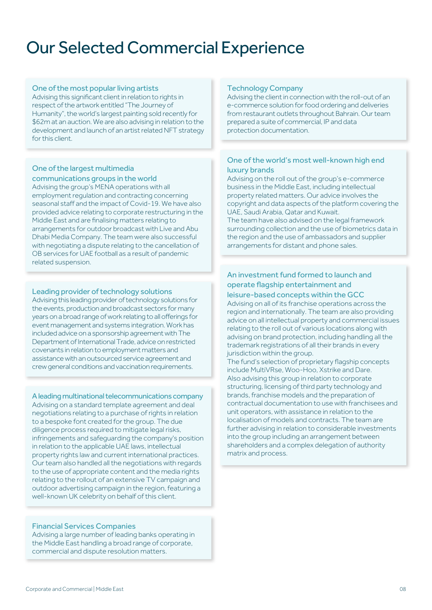### Our Selected Commercial Experience

#### One of the most popular living artists

Advising this significant client in relation to rights in respect of the artwork entitled "The Journey of Humanity", the world's largest painting sold recently for \$62m at an auction. We are also advising in relation to the development and launch of an artist related NFT strategy for this client.

#### One of the largest multimedia communications groups in the world

Advising the group's MENA operations with all employment regulation and contracting concerning seasonal staff and the impact of Covid-19. We have also provided advice relating to corporate restructuring in the Middle East and are finalising matters relating to arrangements for outdoor broadcast with Live and Abu Dhabi Media Company. The team were also successful with negotiating a dispute relating to the cancellation of OB services for UAE football as a result of pandemic related suspension.

#### Leading provider of technology solutions

Advising this leading provider of technology solutions for the events, production and broadcast sectors for many years on a broad range of work relating to all offerings for event management and systems integration. Work has included advice on a sponsorship agreement with The Department of International Trade, advice on restricted covenants in relation to employment matters and assistance with an outsourced service agreement and crew general conditions and vaccination requirements.

A leading multinational telecommunications company Advising on a standard template agreement and deal negotiations relating to a purchase of rights in relation to a bespoke font created for the group. The due diligence process required to mitigate legal risks, infringements and safeguarding the company's position in relation to the applicable UAE laws, intellectual property rights law and current international practices. Our team also handled all the negotiations with regards to the use of appropriate content and the media rights relating to the rollout of an extensive TV campaign and outdoor advertising campaign in the region, featuring a well-known UK celebrity on behalf of this client.

#### Financial Services Companies

Advising a large number of leading banks operating in the Middle East handling a broad range of corporate, commercial and dispute resolution matters.

#### Technology Company

Advising the client in connection with the roll-out of an e-commerce solution for food ordering and deliveries from restaurant outlets throughout Bahrain. Our team prepared a suite of commercial, IP and data protection documentation.

#### One of the world's most well-known high end luxury brands

Advising on the roll out of the group's e-commerce business in the Middle East, including intellectual property related matters. Our advice involves the copyright and data aspects of the platform covering the UAE, Saudi Arabia, Qatar and Kuwait.

The team have also advised on the legal framework surrounding collection and the use of biometrics data in the region and the use of ambassadors and supplier arrangements for distant and phone sales.

#### An investment fund formed to launch and operate flagship entertainment and

#### leisure-based concepts within the GCC

Advising on all of its franchise operations across the region and internationally. The team are also providing advice on all intellectual property and commercial issues relating to the roll out of various locations along with advising on brand protection, including handling all the trademark registrations of all their brands in every jurisdiction within the group.

The fund's selection of proprietary flagship concepts include MultiVRse, Woo-Hoo, Xstrike and Dare. Also advising this group in relation to corporate structuring, licensing of third party technology and brands, franchise models and the preparation of contractual documentation to use with franchisees and unit operators, with assistance in relation to the localisation of models and contracts. The team are further advising in relation to considerable investments into the group including an arrangement between shareholders and a complex delegation of authority matrix and process.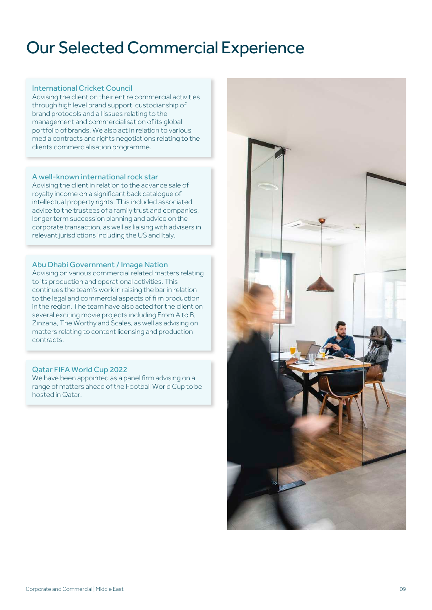### Our Selected Commercial Experience

#### International Cricket Council

Advising the client on their entire commercial activities through high level brand support, custodianship of brand protocols and all issues relating to the management and commercialisation of its global portfolio of brands. We also act in relation to various media contracts and rights negotiations relating to the clients commercialisation programme.

#### A well-known international rock star

Advising the client in relation to the advance sale of royalty income on a significant back catalogue of intellectual property rights. This included associated advice to the trustees of a family trust and companies, longer term succession planning and advice on the corporate transaction, as well as liaising with advisers in relevant jurisdictions including the US and Italy.

#### Abu Dhabi Government / Image Nation

Advising on various commercial related matters relating to its production and operational activities. This continues the team's work in raising the bar in relation to the legal and commercial aspects of film production in the region. The team have also acted for the client on several exciting movie projects including From A to B, Zinzana, The Worthy and Scales, as well as advising on matters relating to content licensing and production contracts.

#### Qatar FIFA World Cup 2022

We have been appointed as a panel firm advising on a range of matters ahead of the Football World Cup to be hosted in Qatar.

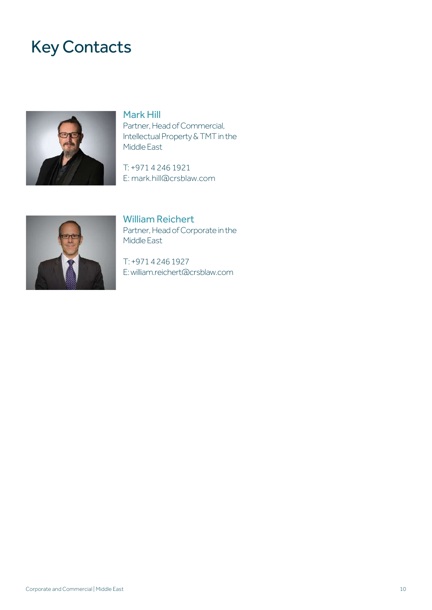### Key Contacts



#### Mark Hill

Partner, Head of Commercial, Intellectual Property & TMT in the Middle East

T: +971 4 246 1921 E: mark.hill@crsblaw.com



William Reichert Partner, Head of Corporate in the Middle East

T: +971 4 246 1927 E: william.reichert@crsblaw.com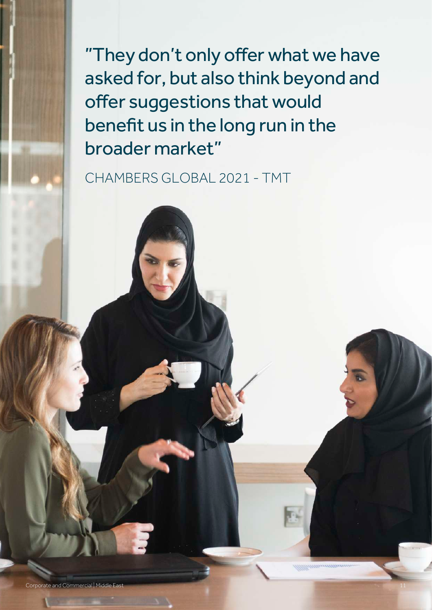"They don't only offer what we have asked for, but also think beyond and offer suggestions that would benefit us in the long run in the broader market"

CHAMBERS GLOBAL 2021 - TMT